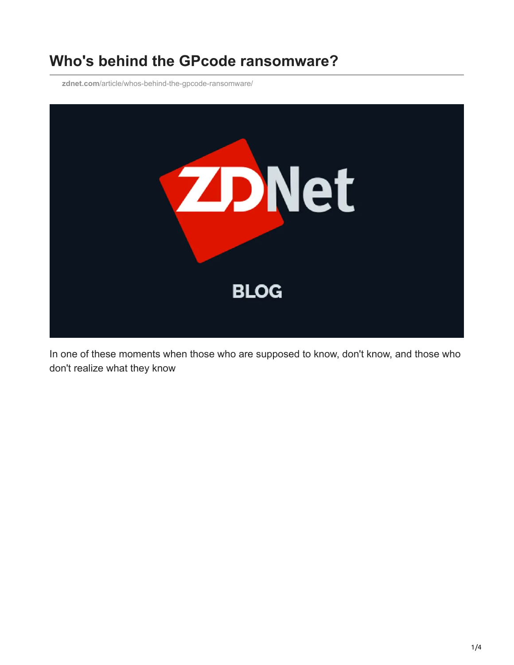## **Who's behind the GPcode ransomware?**

**zdnet.com**[/article/whos-behind-the-gpcode-ransomware/](http://www.zdnet.com/article/whos-behind-the-gpcode-ransomware/)



In one of these moments when those who are supposed to know, don't know, and those who don't realize what they know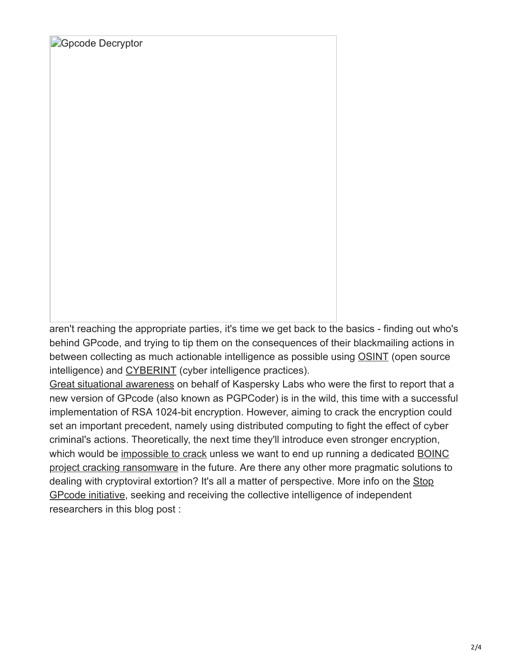**[Gpcode Decryptor](http://www.zdnet.com/i/story/60/80/001259/gpcode_decryptor.JPG)** 

aren't reaching the appropriate parties, it's time we get back to the basics - finding out who's behind GPcode, and trying to tip them on the consequences of their blackmailing actions in between collecting as much actionable intelligence as possible using [OSINT](http://ddanchev.blogspot.com/2006/09/benefits-of-open-source-intelligence.html) (open source intelligence) and [CYBERINT](http://ddanchev.blogspot.com/2006/09/cyber-intelligence-cyberint.html) (cyber intelligence practices).

[Great situational awareness](http://blogs.zdnet.com/security/?p=1251) on behalf of Kaspersky Labs who were the first to report that a new version of GPcode (also known as PGPCoder) is in the wild, this time with a successful implementation of RSA 1024-bit encryption. However, aiming to crack the encryption could set an important precedent, namely using distributed computing to fight the effect of cyber criminal's actions. Theoretically, the next time they'll introduce even stronger encryption, [which would be i](http://boinc.berkeley.edu/)[mpossible to crack](http://www.viruslist.com/en/weblog?weblogid=208187528) [unless we want to end up running a dedicated BOINC](http://boinc.berkeley.edu/) project cracking ransomware in the future. Are there any other more pragmatic solutions to [dealing with cryptoviral extortion? It's all a matter of perspective. More info on the Stop](http://www.viruslist.com/en/weblog?weblogid=208187528) GPcode initiative, seeking and receiving the collective intelligence of independent researchers in this blog post :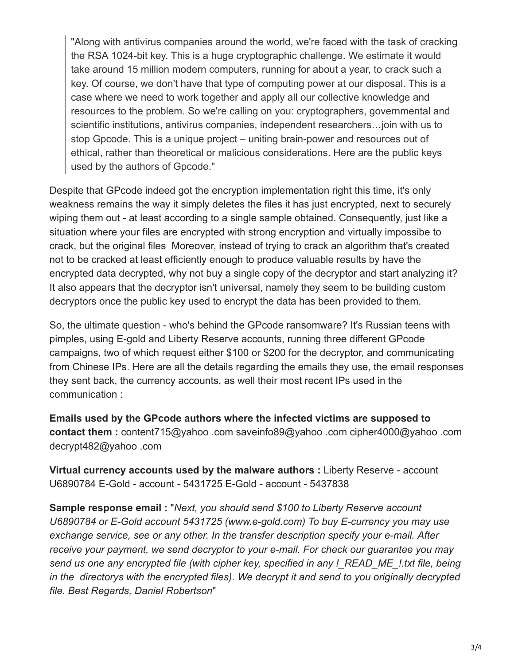"Along with antivirus companies around the world, we're faced with the task of cracking the RSA 1024-bit key. This is a huge cryptographic challenge. We estimate it would take around 15 million modern computers, running for about a year, to crack such a key. Of course, we don't have that type of computing power at our disposal. This is a case where we need to work together and apply all our collective knowledge and resources to the problem. So we're calling on you: cryptographers, governmental and scientific institutions, antivirus companies, independent researchers…join with us to stop Gpcode. This is a unique project – uniting brain-power and resources out of ethical, rather than theoretical or malicious considerations. Here are the public keys used by the authors of Gpcode."

Despite that GPcode indeed got the encryption implementation right this time, it's only weakness remains the way it simply deletes the files it has just encrypted, next to securely wiping them out - at least according to a single sample obtained. Consequently, just like a situation where your files are encrypted with strong encryption and virtually impossibe to crack, but the original files Moreover, instead of trying to crack an algorithm that's created not to be cracked at least efficiently enough to produce valuable results by have the encrypted data decrypted, why not buy a single copy of the decryptor and start analyzing it? It also appears that the decryptor isn't universal, namely they seem to be building custom decryptors once the public key used to encrypt the data has been provided to them.

So, the ultimate question - who's behind the GPcode ransomware? It's Russian teens with pimples, using E-gold and Liberty Reserve accounts, running three different GPcode campaigns, two of which request either \$100 or \$200 for the decryptor, and communicating from Chinese IPs. Here are all the details regarding the emails they use, the email responses they sent back, the currency accounts, as well their most recent IPs used in the communication :

**Emails used by the GPcode authors where the infected victims are supposed to contact them :** content715@yahoo .com saveinfo89@yahoo .com cipher4000@yahoo .com decrypt482@yahoo .com

**Virtual currency accounts used by the malware authors :** Liberty Reserve - account U6890784 E-Gold - account - 5431725 E-Gold - account - 5437838

**Sample response email :** "*Next, you should send \$100 to Liberty Reserve account U6890784 or E-Gold account 5431725 (www.e-gold.com) To buy E-currency you may use exchange service, see or any other. In the transfer description specify your e-mail. After receive your payment, we send decryptor to your e-mail. For check our guarantee you may send us one any encrypted file (with cipher key, specified in any !\_READ\_ME\_!.txt file, being in the directorys with the encrypted files). We decrypt it and send to you originally decrypted file. Best Regards, Daniel Robertson*"